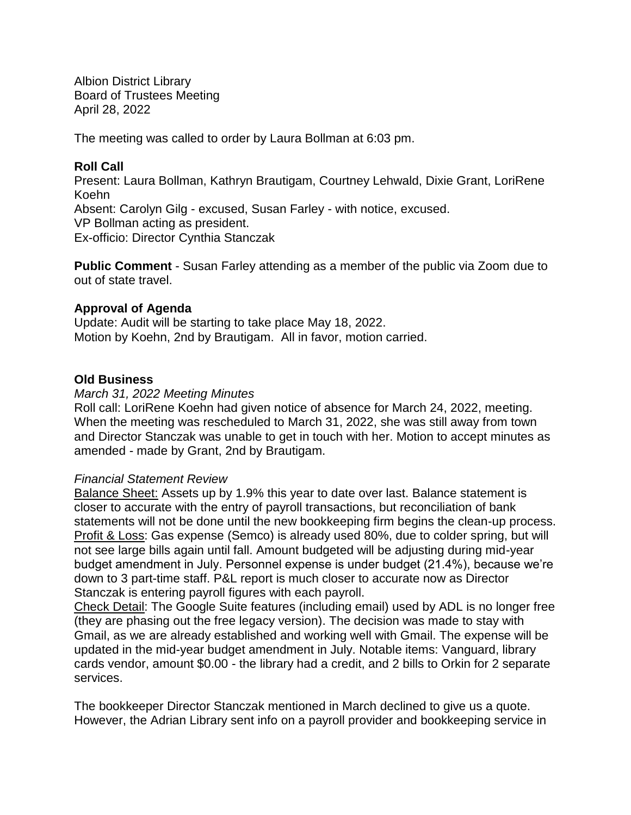Albion District Library Board of Trustees Meeting April 28, 2022

The meeting was called to order by Laura Bollman at 6:03 pm.

## **Roll Call**

Present: Laura Bollman, Kathryn Brautigam, Courtney Lehwald, Dixie Grant, LoriRene Koehn Absent: Carolyn Gilg - excused, Susan Farley - with notice, excused. VP Bollman acting as president. Ex-officio: Director Cynthia Stanczak

**Public Comment** - Susan Farley attending as a member of the public via Zoom due to out of state travel.

## **Approval of Agenda**

Update: Audit will be starting to take place May 18, 2022. Motion by Koehn, 2nd by Brautigam. All in favor, motion carried.

## **Old Business**

#### *March 31, 2022 Meeting Minutes*

Roll call: LoriRene Koehn had given notice of absence for March 24, 2022, meeting. When the meeting was rescheduled to March 31, 2022, she was still away from town and Director Stanczak was unable to get in touch with her. Motion to accept minutes as amended - made by Grant, 2nd by Brautigam.

#### *Financial Statement Review*

Balance Sheet: Assets up by 1.9% this year to date over last. Balance statement is closer to accurate with the entry of payroll transactions, but reconciliation of bank statements will not be done until the new bookkeeping firm begins the clean-up process. Profit & Loss: Gas expense (Semco) is already used 80%, due to colder spring, but will not see large bills again until fall. Amount budgeted will be adjusting during mid-year budget amendment in July. Personnel expense is under budget (21.4%), because we're down to 3 part-time staff. P&L report is much closer to accurate now as Director Stanczak is entering payroll figures with each payroll.

Check Detail: The Google Suite features (including email) used by ADL is no longer free (they are phasing out the free legacy version). The decision was made to stay with Gmail, as we are already established and working well with Gmail. The expense will be updated in the mid-year budget amendment in July. Notable items: Vanguard, library cards vendor, amount \$0.00 - the library had a credit, and 2 bills to Orkin for 2 separate services.

The bookkeeper Director Stanczak mentioned in March declined to give us a quote. However, the Adrian Library sent info on a payroll provider and bookkeeping service in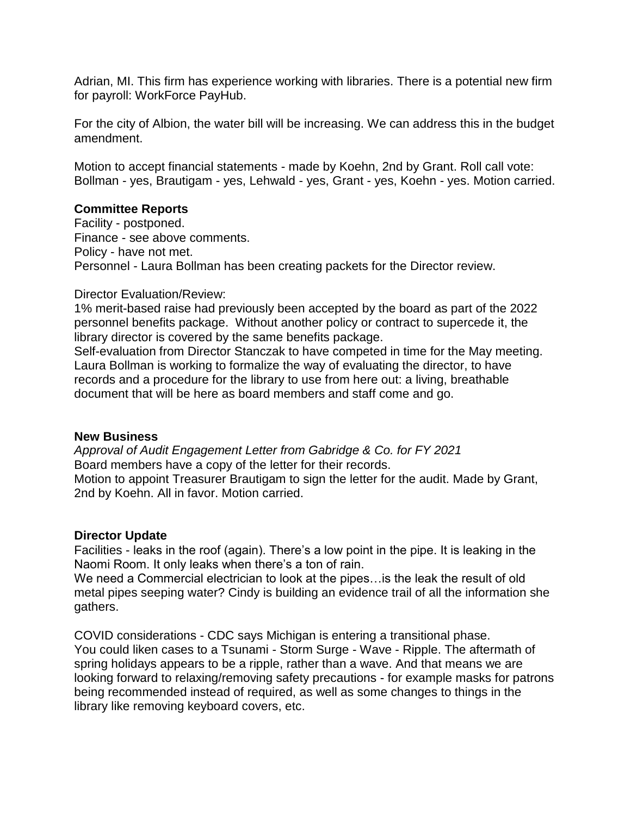Adrian, MI. This firm has experience working with libraries. There is a potential new firm for payroll: WorkForce PayHub.

For the city of Albion, the water bill will be increasing. We can address this in the budget amendment.

Motion to accept financial statements - made by Koehn, 2nd by Grant. Roll call vote: Bollman - yes, Brautigam - yes, Lehwald - yes, Grant - yes, Koehn - yes. Motion carried.

## **Committee Reports**

Facility - postponed. Finance - see above comments. Policy - have not met. Personnel - Laura Bollman has been creating packets for the Director review.

## Director Evaluation/Review:

1% merit-based raise had previously been accepted by the board as part of the 2022 personnel benefits package. Without another policy or contract to supercede it, the library director is covered by the same benefits package.

Self-evaluation from Director Stanczak to have competed in time for the May meeting. Laura Bollman is working to formalize the way of evaluating the director, to have records and a procedure for the library to use from here out: a living, breathable document that will be here as board members and staff come and go.

# **New Business**

*Approval of Audit Engagement Letter from Gabridge & Co. for FY 2021* Board members have a copy of the letter for their records. Motion to appoint Treasurer Brautigam to sign the letter for the audit. Made by Grant, 2nd by Koehn. All in favor. Motion carried.

#### **Director Update**

Facilities - leaks in the roof (again). There's a low point in the pipe. It is leaking in the Naomi Room. It only leaks when there's a ton of rain.

We need a Commercial electrician to look at the pipes…is the leak the result of old metal pipes seeping water? Cindy is building an evidence trail of all the information she gathers.

COVID considerations - CDC says Michigan is entering a transitional phase. You could liken cases to a Tsunami - Storm Surge - Wave - Ripple. The aftermath of spring holidays appears to be a ripple, rather than a wave. And that means we are looking forward to relaxing/removing safety precautions - for example masks for patrons being recommended instead of required, as well as some changes to things in the library like removing keyboard covers, etc.